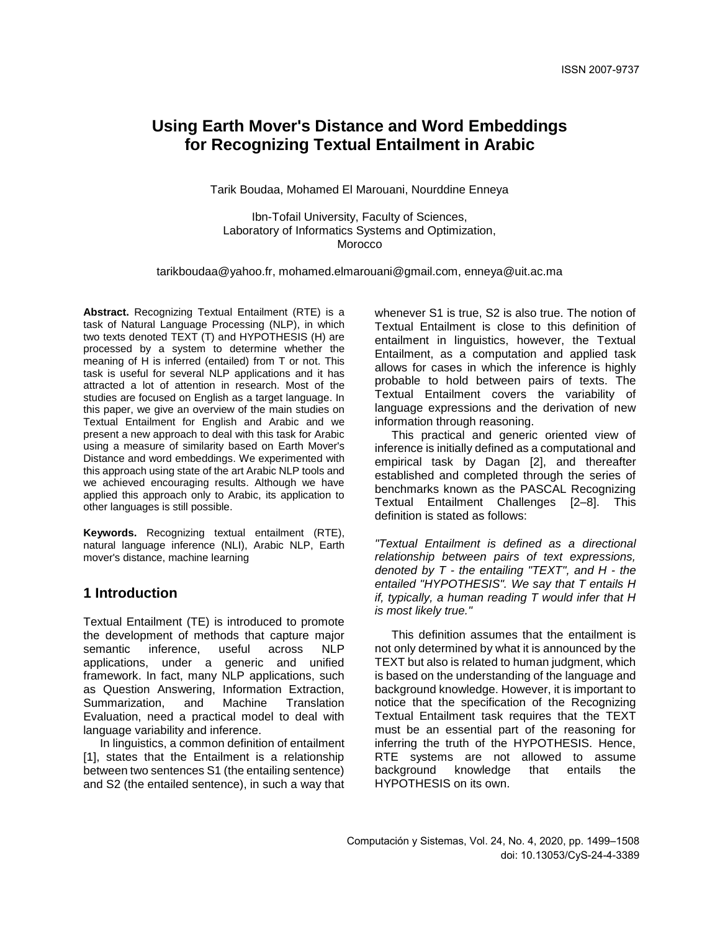Tarik Boudaa, Mohamed El Marouani, Nourddine Enneya

Ibn-Tofail University, Faculty of Sciences, Laboratory of Informatics Systems and Optimization, Morocco

tarikboudaa@yahoo.fr, mohamed.elmarouani@gmail.com, enneya@uit.ac.ma

**Abstract.** Recognizing Textual Entailment (RTE) is a task of Natural Language Processing (NLP), in which two texts denoted TEXT (T) and HYPOTHESIS (H) are processed by a system to determine whether the meaning of H is inferred (entailed) from T or not. This task is useful for several NLP applications and it has attracted a lot of attention in research. Most of the studies are focused on English as a target language. In this paper, we give an overview of the main studies on Textual Entailment for English and Arabic and we present a new approach to deal with this task for Arabic using a measure of similarity based on Earth Mover's Distance and word embeddings. We experimented with this approach using state of the art Arabic NLP tools and we achieved encouraging results. Although we have applied this approach only to Arabic, its application to other languages is still possible.

**Keywords.** Recognizing textual entailment (RTE), natural language inference (NLI), Arabic NLP, Earth mover's distance, machine learning

# **1 Introduction**

Textual Entailment (TE) is introduced to promote the development of methods that capture major semantic inference, useful across NLP applications, under a generic and unified framework. In fact, many NLP applications, such as Question Answering, Information Extraction, Summarization, and Machine Translation Evaluation, need a practical model to deal with language variability and inference.

In linguistics, a common definition of entailment [1], states that the Entailment is a relationship between two sentences S1 (the entailing sentence) and S2 (the entailed sentence), in such a way that

whenever S1 is true, S2 is also true. The notion of Textual Entailment is close to this definition of entailment in linguistics, however, the Textual Entailment, as a computation and applied task allows for cases in which the inference is highly probable to hold between pairs of texts. The Textual Entailment covers the variability of language expressions and the derivation of new information through reasoning.

This practical and generic oriented view of inference is initially defined as a computational and empirical task by Dagan [2], and thereafter established and completed through the series of benchmarks known as the PASCAL Recognizing Textual Entailment Challenges [2–8]. This definition is stated as follows:

*"Textual Entailment is defined as a directional relationship between pairs of text expressions, denoted by T - the entailing "TEXT", and H - the entailed "HYPOTHESIS". We say that T entails H if, typically, a human reading T would infer that H is most likely true."*

This definition assumes that the entailment is not only determined by what it is announced by the TEXT but also is related to human judgment, which is based on the understanding of the language and background knowledge. However, it is important to notice that the specification of the Recognizing Textual Entailment task requires that the TEXT must be an essential part of the reasoning for inferring the truth of the HYPOTHESIS. Hence, RTE systems are not allowed to assume background knowledge that entails the HYPOTHESIS on its own.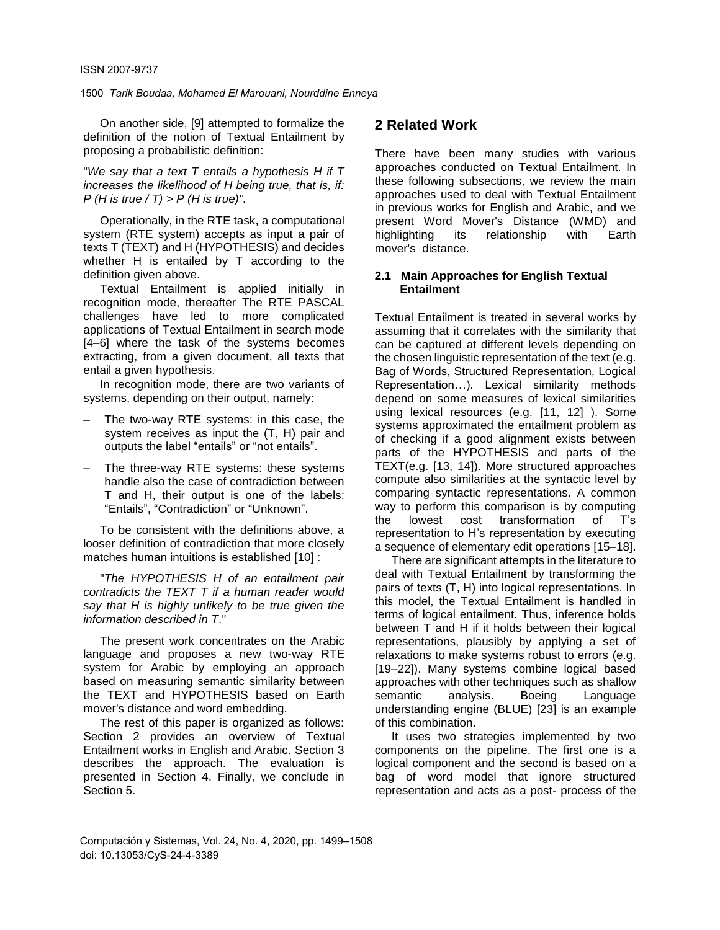On another side, [9] attempted to formalize the definition of the notion of Textual Entailment by proposing a probabilistic definition:

"*We say that a text T entails a hypothesis H if T increases the likelihood of H being true, that is, if: P (H is true / T) > P (H is true)".*

Operationally, in the RTE task, a computational system (RTE system) accepts as input a pair of texts T (TEXT) and H (HYPOTHESIS) and decides whether H is entailed by T according to the definition given above.

Textual Entailment is applied initially in recognition mode, thereafter The RTE PASCAL challenges have led to more complicated applications of Textual Entailment in search mode [4–6] where the task of the systems becomes extracting, from a given document, all texts that entail a given hypothesis.

In recognition mode, there are two variants of systems, depending on their output, namely:

- ‒ The two-way RTE systems: in this case, the system receives as input the (T, H) pair and outputs the label "entails" or "not entails".
- ‒ The three-way RTE systems: these systems handle also the case of contradiction between T and H, their output is one of the labels: "Entails", "Contradiction" or "Unknown".

To be consistent with the definitions above, a looser definition of contradiction that more closely matches human intuitions is established [10] :

"*The HYPOTHESIS H of an entailment pair contradicts the TEXT T if a human reader would say that H is highly unlikely to be true given the information described in T*."

The present work concentrates on the Arabic language and proposes a new two-way RTE system for Arabic by employing an approach based on measuring semantic similarity between the TEXT and HYPOTHESIS based on Earth mover's distance and word embedding.

The rest of this paper is organized as follows: Section 2 provides an overview of Textual Entailment works in English and Arabic. Section 3 describes the approach. The evaluation is presented in Section 4. Finally, we conclude in Section 5.

# **2 Related Work**

There have been many studies with various approaches conducted on Textual Entailment. In these following subsections, we review the main approaches used to deal with Textual Entailment in previous works for English and Arabic, and we present Word Mover's Distance (WMD) and highlighting its relationship with Earth mover's distance.

### **2.1 Main Approaches for English Textual Entailment**

Textual Entailment is treated in several works by assuming that it correlates with the similarity that can be captured at different levels depending on the chosen linguistic representation of the text (e.g. Bag of Words, Structured Representation, Logical Representation…). Lexical similarity methods depend on some measures of lexical similarities using lexical resources (e.g. [11, 12] ). Some systems approximated the entailment problem as of checking if a good alignment exists between parts of the HYPOTHESIS and parts of the TEXT(e.g. [13, 14]). More structured approaches compute also similarities at the syntactic level by comparing syntactic representations. A common way to perform this comparison is by computing the lowest cost transformation of T's representation to H's representation by executing a sequence of elementary edit operations [15–18].

There are significant attempts in the literature to deal with Textual Entailment by transforming the pairs of texts (T, H) into logical representations. In this model, the Textual Entailment is handled in terms of logical entailment. Thus, inference holds between T and H if it holds between their logical representations, plausibly by applying a set of relaxations to make systems robust to errors (e.g. [19–22]). Many systems combine logical based approaches with other techniques such as shallow semantic analysis. Boeing Language understanding engine (BLUE) [23] is an example of this combination.

It uses two strategies implemented by two components on the pipeline. The first one is a logical component and the second is based on a bag of word model that ignore structured representation and acts as a post- process of the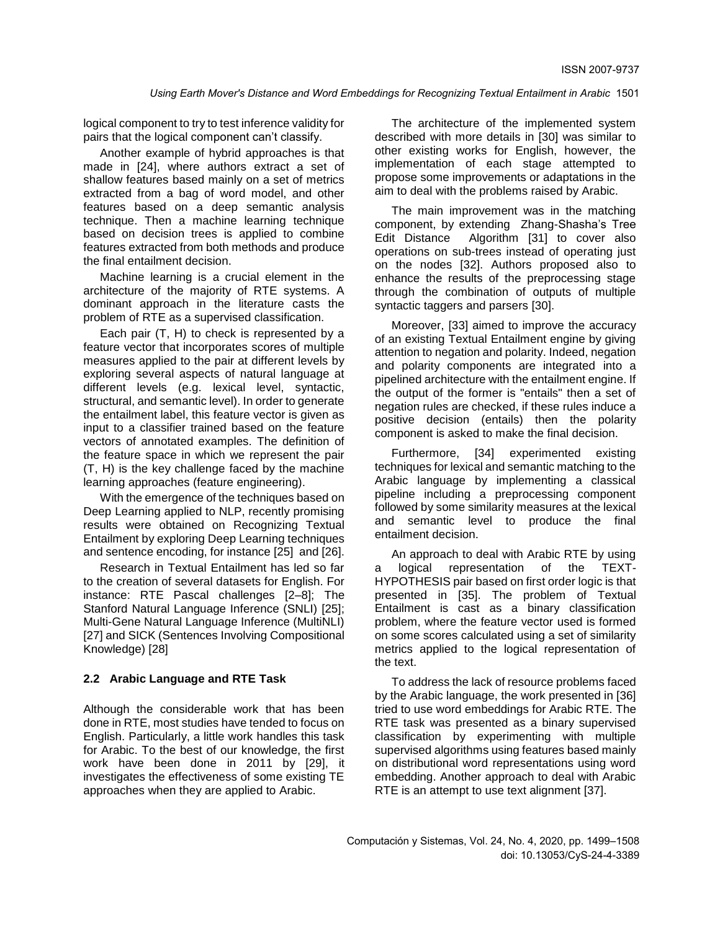logical component to try to test inference validity for pairs that the logical component can't classify.

Another example of hybrid approaches is that made in [24], where authors extract a set of shallow features based mainly on a set of metrics extracted from a bag of word model, and other features based on a deep semantic analysis technique. Then a machine learning technique based on decision trees is applied to combine features extracted from both methods and produce the final entailment decision.

Machine learning is a crucial element in the architecture of the majority of RTE systems. A dominant approach in the literature casts the problem of RTE as a supervised classification.

Each pair (T, H) to check is represented by a feature vector that incorporates scores of multiple measures applied to the pair at different levels by exploring several aspects of natural language at different levels (e.g. lexical level, syntactic, structural, and semantic level). In order to generate the entailment label, this feature vector is given as input to a classifier trained based on the feature vectors of annotated examples. The definition of the feature space in which we represent the pair (T, H) is the key challenge faced by the machine learning approaches (feature engineering).

With the emergence of the techniques based on Deep Learning applied to NLP, recently promising results were obtained on Recognizing Textual Entailment by exploring Deep Learning techniques and sentence encoding, for instance [25] and [26].

Research in Textual Entailment has led so far to the creation of several datasets for English. For instance: RTE Pascal challenges [2–8]; The Stanford Natural Language Inference (SNLI) [25]; Multi-Gene Natural Language Inference (MultiNLI) [27] and SICK (Sentences Involving Compositional Knowledge) [28]

### **2.2 Arabic Language and RTE Task**

Although the considerable work that has been done in RTE, most studies have tended to focus on English. Particularly, a little work handles this task for Arabic. To the best of our knowledge, the first work have been done in 2011 by [29], it investigates the effectiveness of some existing TE approaches when they are applied to Arabic.

The architecture of the implemented system described with more details in [30] was similar to other existing works for English, however, the implementation of each stage attempted to propose some improvements or adaptations in the aim to deal with the problems raised by Arabic.

The main improvement was in the matching component, by extending Zhang-Shasha's Tree Edit Distance Algorithm [31] to cover also operations on sub-trees instead of operating just on the nodes [32]. Authors proposed also to enhance the results of the preprocessing stage through the combination of outputs of multiple syntactic taggers and parsers [30].

Moreover, [33] aimed to improve the accuracy of an existing Textual Entailment engine by giving attention to negation and polarity. Indeed, negation and polarity components are integrated into a pipelined architecture with the entailment engine. If the output of the former is "entails" then a set of negation rules are checked, if these rules induce a positive decision (entails) then the polarity component is asked to make the final decision.

Furthermore, [34] experimented existing techniques for lexical and semantic matching to the Arabic language by implementing a classical pipeline including a preprocessing component followed by some similarity measures at the lexical and semantic level to produce the final entailment decision.

An approach to deal with Arabic RTE by using a logical representation of the TEXT-HYPOTHESIS pair based on first order logic is that presented in [35]. The problem of Textual Entailment is cast as a binary classification problem, where the feature vector used is formed on some scores calculated using a set of similarity metrics applied to the logical representation of the text.

To address the lack of resource problems faced by the Arabic language, the work presented in [36] tried to use word embeddings for Arabic RTE. The RTE task was presented as a binary supervised classification by experimenting with multiple supervised algorithms using features based mainly on distributional word representations using word embedding. Another approach to deal with Arabic RTE is an attempt to use text alignment [37].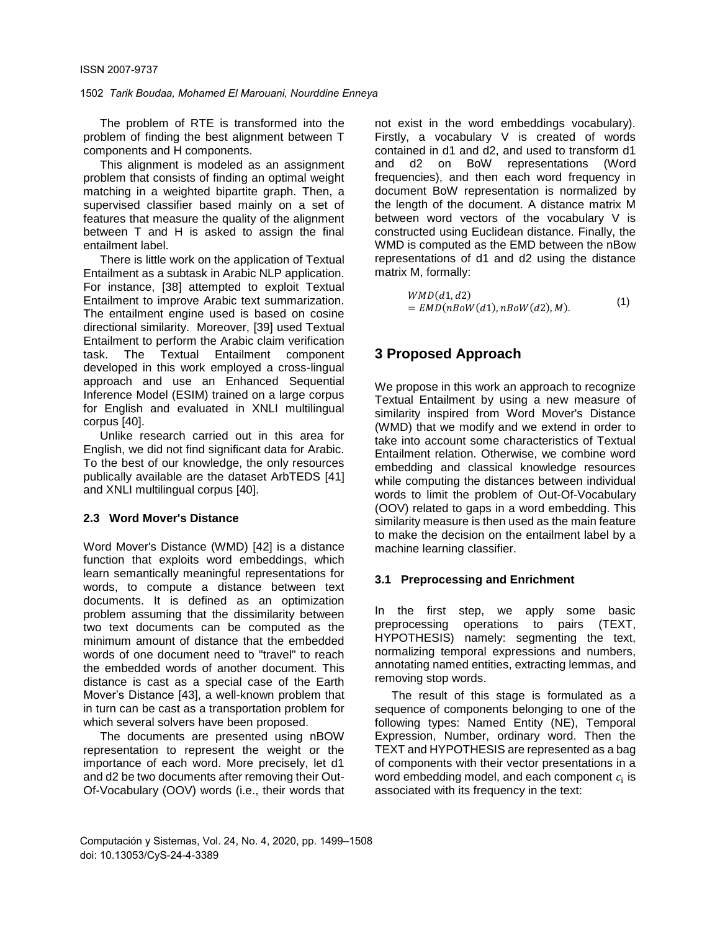The problem of RTE is transformed into the problem of finding the best alignment between T components and H components.

This alignment is modeled as an assignment problem that consists of finding an optimal weight matching in a weighted bipartite graph. Then, a supervised classifier based mainly on a set of features that measure the quality of the alignment between T and H is asked to assign the final entailment label.

There is little work on the application of Textual Entailment as a subtask in Arabic NLP application. For instance, [38] attempted to exploit Textual Entailment to improve Arabic text summarization. The entailment engine used is based on cosine directional similarity. Moreover, [39] used Textual Entailment to perform the Arabic claim verification task. The Textual Entailment component developed in this work employed a cross-lingual approach and use an Enhanced Sequential Inference Model (ESIM) trained on a large corpus for English and evaluated in XNLI multilingual corpus [40].

Unlike research carried out in this area for English, we did not find significant data for Arabic. To the best of our knowledge, the only resources publically available are the dataset ArbTEDS [41] and XNLI multilingual corpus [40].

### **2.3 Word Mover's Distance**

Word Mover's Distance (WMD) [42] is a distance function that exploits word embeddings, which learn semantically meaningful representations for words, to compute a distance between text documents. It is defined as an optimization problem assuming that the dissimilarity between two text documents can be computed as the minimum amount of distance that the embedded words of one document need to "travel" to reach the embedded words of another document. This distance is cast as a special case of the Earth Mover's Distance [43], a well-known problem that in turn can be cast as a transportation problem for which several solvers have been proposed.

The documents are presented using nBOW representation to represent the weight or the importance of each word. More precisely, let d1 and d2 be two documents after removing their Out-Of-Vocabulary (OOV) words (i.e., their words that not exist in the word embeddings vocabulary). Firstly, a vocabulary V is created of words contained in d1 and d2, and used to transform d1 and d2 on BoW representations (Word frequencies), and then each word frequency in document BoW representation is normalized by the length of the document. A distance matrix M between word vectors of the vocabulary V is constructed using Euclidean distance. Finally, the WMD is computed as the EMD between the nBow representations of d1 and d2 using the distance matrix M, formally:

$$
WMD(d1, d2)
$$
  
= EMD(nBoW(d1), nBoW(d2), M). (1)

# **3 Proposed Approach**

We propose in this work an approach to recognize Textual Entailment by using a new measure of similarity inspired from Word Mover's Distance (WMD) that we modify and we extend in order to take into account some characteristics of Textual Entailment relation. Otherwise, we combine word embedding and classical knowledge resources while computing the distances between individual words to limit the problem of Out-Of-Vocabulary (OOV) related to gaps in a word embedding. This similarity measure is then used as the main feature to make the decision on the entailment label by a machine learning classifier.

### **3.1 Preprocessing and Enrichment**

In the first step, we apply some basic preprocessing operations to pairs (TEXT, HYPOTHESIS) namely: segmenting the text, normalizing temporal expressions and numbers, annotating named entities, extracting lemmas, and removing stop words.

The result of this stage is formulated as a sequence of components belonging to one of the following types: Named Entity (NE), Temporal Expression, Number, ordinary word. Then the TEXT and HYPOTHESIS are represented as a bag of components with their vector presentations in a word embedding model, and each component  $c_{\rm i}$  is associated with its frequency in the text: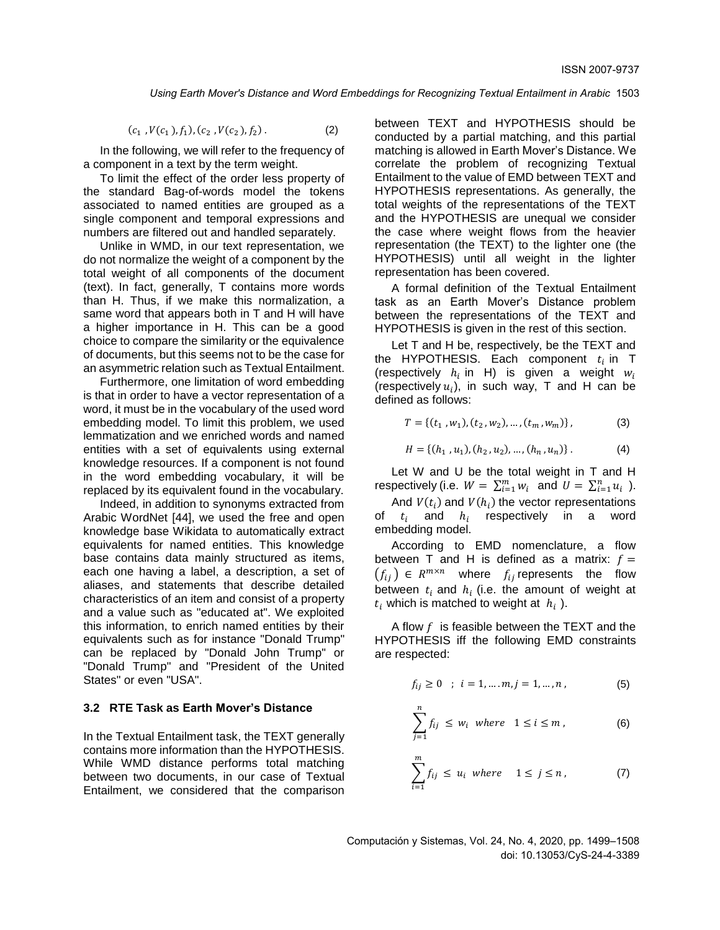$(c_1, V(c_1), f_1), (c_2, V(c_2), f_2)$  $(2)$ 

In the following, we will refer to the frequency of a component in a text by the term weight.

To limit the effect of the order less property of the standard Bag-of-words model the tokens associated to named entities are grouped as a single component and temporal expressions and numbers are filtered out and handled separately.

Unlike in WMD, in our text representation, we do not normalize the weight of a component by the total weight of all components of the document (text). In fact, generally, T contains more words than H. Thus, if we make this normalization, a same word that appears both in T and H will have a higher importance in H. This can be a good choice to compare the similarity or the equivalence of documents, but this seems not to be the case for an asymmetric relation such as Textual Entailment.

Furthermore, one limitation of word embedding is that in order to have a vector representation of a word, it must be in the vocabulary of the used word embedding model. To limit this problem, we used lemmatization and we enriched words and named entities with a set of equivalents using external knowledge resources. If a component is not found in the word embedding vocabulary, it will be replaced by its equivalent found in the vocabulary.

Indeed, in addition to synonyms extracted from Arabic WordNet [44], we used the free and open knowledge base Wikidata to automatically extract equivalents for named entities. This knowledge base contains data mainly structured as items, each one having a label, a description, a set of aliases, and statements that describe detailed characteristics of an item and consist of a property and a value such as "educated at". We exploited this information, to enrich named entities by their equivalents such as for instance "Donald Trump" can be replaced by "Donald John Trump" or "Donald Trump" and "President of the United States" or even "USA".

### **3.2 RTE Task as Earth Mover's Distance**

In the Textual Entailment task, the TEXT generally contains more information than the HYPOTHESIS. While WMD distance performs total matching between two documents, in our case of Textual Entailment, we considered that the comparison between TEXT and HYPOTHESIS should be conducted by a partial matching, and this partial matching is allowed in Earth Mover's Distance. We correlate the problem of recognizing Textual Entailment to the value of EMD between TEXT and HYPOTHESIS representations. As generally, the total weights of the representations of the TEXT and the HYPOTHESIS are unequal we consider the case where weight flows from the heavier representation (the TEXT) to the lighter one (the HYPOTHESIS) until all weight in the lighter representation has been covered.

A formal definition of the Textual Entailment task as an Earth Mover's Distance problem between the representations of the TEXT and HYPOTHESIS is given in the rest of this section.

Let T and H be, respectively, be the TEXT and the HYPOTHESIS. Each component  $t_i$  in T (respectively  $h_i$  in H) is given a weight  $w_i$ (respectively  $u_i$ ), in such way, T and H can be defined as follows:

$$
T = \{ (t_1, w_1), (t_2, w_2), \dots, (t_m, w_m) \},
$$
 (3)

$$
H = \{ (h_1, u_1), (h_2, u_2), \dots, (h_n, u_n) \}.
$$
 (4)

Let W and U be the total weight in T and H respectively (i.e.  $W = \sum_{i=1}^{m} w_i$  and  $U = \sum_{i=1}^{n} u_i$ ).

And  $V(t_i)$  and  $V(h_i)$  the vector representations of  $t_i$  and  $h_i$  respectively in a word embedding model.

According to EMD nomenclature, a flow between T and H is defined as a matrix:  $f =$  $(f_{ij}) \in R^{m \times n}$  where  $f_{ij}$  represents the flow between  $t_i$  and  $h_i$  (i.e. the amount of weight at  $t_i$  which is matched to weight at  $h_i$  ).

A flow  $f$  is feasible between the TEXT and the HYPOTHESIS iff the following EMD constraints are respected:

$$
f_{ij} \ge 0 \quad ; \quad i = 1, \dots, m, j = 1, \dots, n \tag{5}
$$

$$
\sum_{j=1}^{n} f_{ij} \le w_i \text{ where } 1 \le i \le m,
$$
 (6)

$$
\sum_{i=1}^{m} f_{ij} \le u_i \text{ where } 1 \le j \le n, \tag{7}
$$

Computación y Sistemas, Vol. 24, No. 4, 2020, pp. 1499–1508 doi: 10.13053/CyS-24-4-3389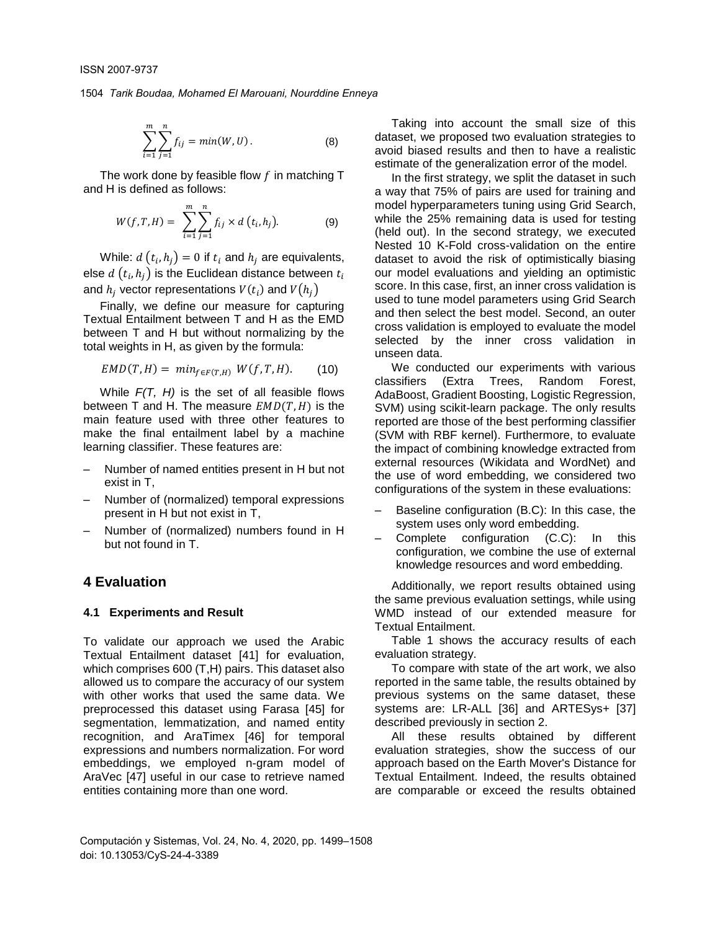$$
\sum_{i=1}^{m} \sum_{j=1}^{n} f_{ij} = min(W, U).
$$
 (8)

The work done by feasible flow  $f$  in matching T and H is defined as follows:

$$
W(f, T, H) = \sum_{i=1}^{m} \sum_{j=1}^{n} f_{ij} \times d(t_i, h_j).
$$
 (9)

While:  $d(t_i, h_j) = 0$  if  $t_i$  and  $h_j$  are equivalents, else  $d\left( t_{i},h_{j}\right)$  is the Euclidean distance between  $t_{i}$ and  $h_j$  vector representations  $V(t_i)$  and  $V\big(h_j\big)$ 

Finally, we define our measure for capturing Textual Entailment between T and H as the EMD between T and H but without normalizing by the total weights in H, as given by the formula:

$$
EMD(T, H) = min_{f \in F(T, H)} W(f, T, H). \qquad (10)
$$

While *F(T, H)* is the set of all feasible flows between T and H. The measure  $EMD(T, H)$  is the main feature used with three other features to make the final entailment label by a machine learning classifier. These features are:

- ‒ Number of named entities present in H but not exist in T,
- ‒ Number of (normalized) temporal expressions present in H but not exist in T,
- ‒ Number of (normalized) numbers found in H but not found in T.

## **4 Evaluation**

### **4.1 Experiments and Result**

To validate our approach we used the Arabic Textual Entailment dataset [41] for evaluation, which comprises 600 (T,H) pairs. This dataset also allowed us to compare the accuracy of our system with other works that used the same data. We preprocessed this dataset using Farasa [45] for segmentation, lemmatization, and named entity recognition, and AraTimex [46] for temporal expressions and numbers normalization. For word embeddings, we employed n-gram model of AraVec [47] useful in our case to retrieve named entities containing more than one word.

Taking into account the small size of this dataset, we proposed two evaluation strategies to avoid biased results and then to have a realistic estimate of the generalization error of the model.

In the first strategy, we split the dataset in such a way that 75% of pairs are used for training and model hyperparameters tuning using Grid Search, while the 25% remaining data is used for testing (held out). In the second strategy, we executed Nested 10 K-Fold cross-validation on the entire dataset to avoid the risk of optimistically biasing our model evaluations and yielding an optimistic score. In this case, first, an inner cross validation is used to tune model parameters using Grid Search and then select the best model. Second, an outer cross validation is employed to evaluate the model selected by the inner cross validation in unseen data.

We conducted our experiments with various classifiers (Extra Trees, Random Forest, AdaBoost, Gradient Boosting, Logistic Regression, SVM) using scikit-learn package. The only results reported are those of the best performing classifier (SVM with RBF kernel). Furthermore, to evaluate the impact of combining knowledge extracted from external resources (Wikidata and WordNet) and the use of word embedding, we considered two configurations of the system in these evaluations:

- Baseline configuration (B.C): In this case, the system uses only word embedding.
- ‒ Complete configuration (C.C): In this configuration, we combine the use of external knowledge resources and word embedding.

Additionally, we report results obtained using the same previous evaluation settings, while using WMD instead of our extended measure for Textual Entailment.

Table 1 shows the accuracy results of each evaluation strategy.

To compare with state of the art work, we also reported in the same table, the results obtained by previous systems on the same dataset, these systems are: LR-ALL [36] and ARTESys+ [37] described previously in section 2.

All these results obtained by different evaluation strategies, show the success of our approach based on the Earth Mover's Distance for Textual Entailment. Indeed, the results obtained are comparable or exceed the results obtained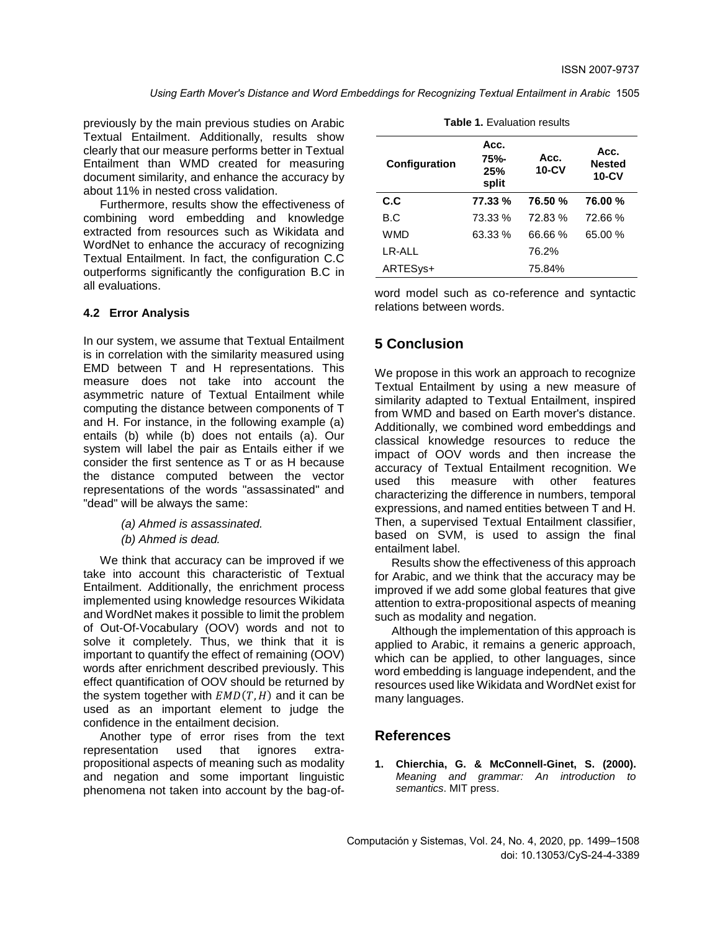previously by the main previous studies on Arabic Textual Entailment. Additionally, results show clearly that our measure performs better in Textual Entailment than WMD created for measuring document similarity, and enhance the accuracy by about 11% in nested cross validation.

Furthermore, results show the effectiveness of combining word embedding and knowledge extracted from resources such as Wikidata and WordNet to enhance the accuracy of recognizing Textual Entailment. In fact, the configuration C.C outperforms significantly the configuration B.C in all evaluations.

### **4.2 Error Analysis**

In our system, we assume that Textual Entailment is in correlation with the similarity measured using EMD between T and H representations. This measure does not take into account the asymmetric nature of Textual Entailment while computing the distance between components of T and H. For instance, in the following example (a) entails (b) while (b) does not entails (a). Our system will label the pair as Entails either if we consider the first sentence as T or as H because the distance computed between the vector representations of the words "assassinated" and "dead" will be always the same:

*(a) Ahmed is assassinated.*

*(b) Ahmed is dead.*

We think that accuracy can be improved if we take into account this characteristic of Textual Entailment. Additionally, the enrichment process implemented using knowledge resources Wikidata and WordNet makes it possible to limit the problem of Out-Of-Vocabulary (OOV) words and not to solve it completely. Thus, we think that it is important to quantify the effect of remaining (OOV) words after enrichment described previously. This effect quantification of OOV should be returned by the system together with  $EMD(T, H)$  and it can be used as an important element to judge the confidence in the entailment decision.

Another type of error rises from the text representation used that ignores extrapropositional aspects of meaning such as modality and negation and some important linguistic phenomena not taken into account by the bag-of-

| Acc.<br>75%-<br>25%<br>split | Acc.<br>$10 - CV$ | Acc.<br><b>Nested</b><br><b>10-CV</b> |
|------------------------------|-------------------|---------------------------------------|
| 77.33 %                      | 76.50 %           | 76.00 %                               |
| 73.33 %                      | 72.83%            | 72.66%                                |
| 63.33 %                      | 66.66%            | 65.00 %                               |
|                              | 76.2%             |                                       |
|                              | 75.84%            |                                       |
|                              |                   |                                       |

**Table 1.** Evaluation results

word model such as co-reference and syntactic relations between words.

# **5 Conclusion**

We propose in this work an approach to recognize Textual Entailment by using a new measure of similarity adapted to Textual Entailment, inspired from WMD and based on Earth mover's distance. Additionally, we combined word embeddings and classical knowledge resources to reduce the impact of OOV words and then increase the accuracy of Textual Entailment recognition. We used this measure with other features characterizing the difference in numbers, temporal expressions, and named entities between T and H. Then, a supervised Textual Entailment classifier, based on SVM, is used to assign the final entailment label.

Results show the effectiveness of this approach for Arabic, and we think that the accuracy may be improved if we add some global features that give attention to extra-propositional aspects of meaning such as modality and negation.

Although the implementation of this approach is applied to Arabic, it remains a generic approach, which can be applied, to other languages, since word embedding is language independent, and the resources used like Wikidata and WordNet exist for many languages.

## **References**

**1. Chierchia, G. & McConnell-Ginet, S. (2000).**  *Meaning and grammar: An introduction to semantics*. MIT press.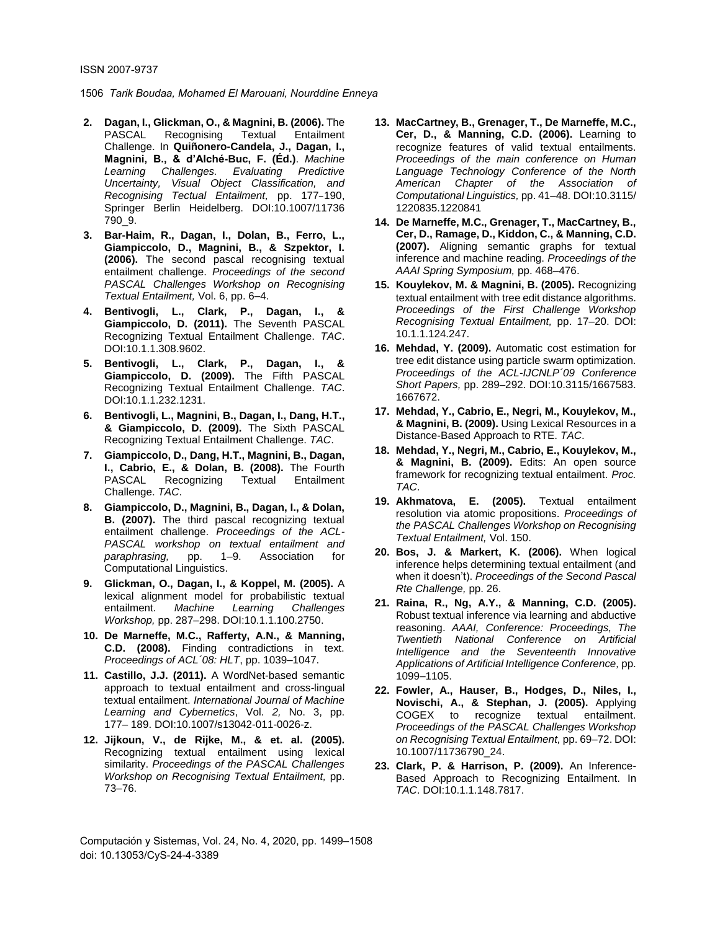- **2. Dagan, I., Glickman, O., & Magnini, B. (2006).** The PASCAL Recognising Textual Entailment Challenge. In **Quiñonero-Candela, J., Dagan, I., Magnini, B., & d'Alché-Buc, F. (Éd.)**. *Machine Learning Challenges. Evaluating Predictive Uncertainty, Visual Object Classification, and Recognising Tectual Entailment,* pp. 177–190, Springer Berlin Heidelberg. DOI:10.1007/11736 790\_9.
- **3. Bar-Haim, R., Dagan, I., Dolan, B., Ferro, L., Giampiccolo, D., Magnini, B., & Szpektor, I. (2006).** The second pascal recognising textual entailment challenge. *Proceedings of the second PASCAL Challenges Workshop on Recognising Textual Entailment,* Vol. 6, pp. 6–4.
- **4. Bentivogli, L., Clark, P., Dagan, I., & Giampiccolo, D. (2011).** The Seventh PASCAL Recognizing Textual Entailment Challenge. *TAC*. DOI:10.1.1.308.9602.
- **5. Bentivogli, L., Clark, P., Dagan, I., & Giampiccolo, D. (2009).** The Fifth PASCAL Recognizing Textual Entailment Challenge. *TAC*. DOI:10.1.1.232.1231.
- **6. Bentivogli, L., Magnini, B., Dagan, I., Dang, H.T., & Giampiccolo, D. (2009).** The Sixth PASCAL Recognizing Textual Entailment Challenge. *TAC*.
- **7. Giampiccolo, D., Dang, H.T., Magnini, B., Dagan, I., Cabrio, E., & Dolan, B. (2008).** The Fourth PASCAL Recognizing Textual Entailment Challenge. *TAC*.
- **8. Giampiccolo, D., Magnini, B., Dagan, I., & Dolan, B. (2007).** The third pascal recognizing textual entailment challenge. *Proceedings of the ACL-PASCAL workshop on textual entailment and paraphrasing,* pp. 1–9. Association for Computational Linguistics.
- **9. Glickman, O., Dagan, I., & Koppel, M. (2005).** A lexical alignment model for probabilistic textual entailment. *Machine Learning Challenges Workshop,* pp. 287–298. DOI:10.1.1.100.2750.
- **10. De Marneffe, M.C., Rafferty, A.N., & Manning, C.D. (2008).** Finding contradictions in text. *Proceedings of ACL´08: HLT*, pp. 1039–1047.
- **11. Castillo, J.J. (2011).** A WordNet-based semantic approach to textual entailment and cross-lingual textual entailment. *International Journal of Machine Learning and Cybernetics*, Vol. *2,* No. 3, pp. 177– 189. DOI:10.1007/s13042-011-0026-z.
- **12. Jijkoun, V., de Rijke, M., & et. al. (2005).**  Recognizing textual entailment using lexical similarity. *Proceedings of the PASCAL Challenges Workshop on Recognising Textual Entailment,* pp. 73–76.
- **13. MacCartney, B., Grenager, T., De Marneffe, M.C., Cer, D., & Manning, C.D. (2006).** Learning to recognize features of valid textual entailments. *Proceedings of the main conference on Human Language Technology Conference of the North American Chapter of the Association of Computational Linguistics,* pp. 41–48. DOI:10.3115/ 1220835.1220841
- **14. De Marneffe, M.C., Grenager, T., MacCartney, B., Cer, D., Ramage, D., Kiddon, C., & Manning, C.D. (2007).** Aligning semantic graphs for textual inference and machine reading. *Proceedings of the AAAI Spring Symposium,* pp. 468–476.
- **15. Kouylekov, M. & Magnini, B. (2005).** Recognizing textual entailment with tree edit distance algorithms. *Proceedings of the First Challenge Workshop Recognising Textual Entailment,* pp. 17–20. DOI: 10.1.1.124.247.
- **16. Mehdad, Y. (2009).** Automatic cost estimation for tree edit distance using particle swarm optimization. *Proceedings of the ACL-IJCNLP´09 Conference Short Papers,* pp. 289–292. DOI:10.3115/1667583. 1667672.
- **17. Mehdad, Y., Cabrio, E., Negri, M., Kouylekov, M., & Magnini, B. (2009).** Using Lexical Resources in a Distance-Based Approach to RTE. *TAC*.
- **18. Mehdad, Y., Negri, M., Cabrio, E., Kouylekov, M., & Magnini, B. (2009).** Edits: An open source framework for recognizing textual entailment. *Proc. TAC*.
- **19. Akhmatova, E. (2005).** Textual entailment resolution via atomic propositions. *Proceedings of the PASCAL Challenges Workshop on Recognising Textual Entailment,* Vol. 150.
- **20. Bos, J. & Markert, K. (2006).** When logical inference helps determining textual entailment (and when it doesn't). *Proceedings of the Second Pascal Rte Challenge,* pp. 26.
- **21. Raina, R., Ng, A.Y., & Manning, C.D. (2005).** Robust textual inference via learning and abductive reasoning. *AAAI, Conference: Proceedings, The Twentieth National Conference on Artificial Intelligence and the Seventeenth Innovative Applications of Artificial Intelligence Conference,* pp. 1099–1105.
- **22. Fowler, A., Hauser, B., Hodges, D., Niles, I., Novischi, A., & Stephan, J. (2005).** Applying COGEX to recognize textual entailment. *Proceedings of the PASCAL Challenges Workshop on Recognising Textual Entailment,* pp. 69–72. DOI: 10.1007/11736790\_24.
- **23. Clark, P. & Harrison, P. (2009).** An Inference-Based Approach to Recognizing Entailment. In *TAC*. DOI:10.1.1.148.7817.

Computación y Sistemas, Vol. 24, No. 4, 2020, pp. 1499–1508 doi: 10.13053/CyS-24-4-3389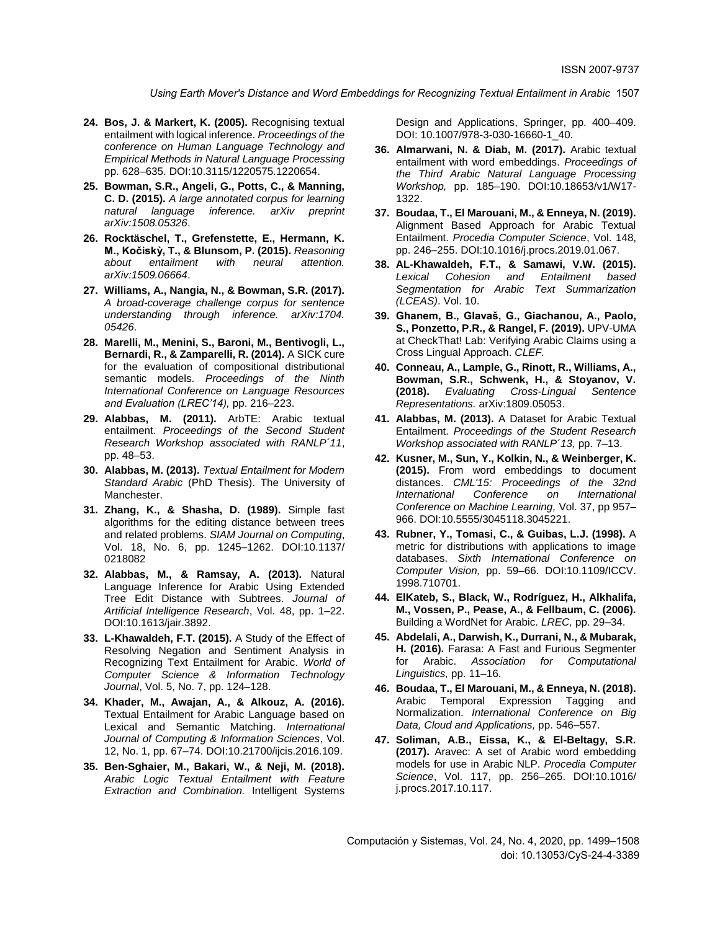- **24. Bos, J. & Markert, K. (2005).** Recognising textual entailment with logical inference. *Proceedings of the conference on Human Language Technology and Empirical Methods in Natural Language Processing* pp. 628–635. DOI:10.3115/1220575.1220654.
- **25. Bowman, S.R., Angeli, G., Potts, C., & Manning, C. D. (2015).** *A large annotated corpus for learning natural language inference. arXiv preprint arXiv:1508.05326*.
- **26. Rocktäschel, T., Grefenstette, E., Hermann, K. M., Kočiskỳ, T., & Blunsom, P. (2015).** *Reasoning about entailment with neural attention. arXiv:1509.06664*.
- **27. Williams, A., Nangia, N., & Bowman, S.R. (2017).** *A broad-coverage challenge corpus for sentence understanding through inference. arXiv:1704. 05426*.
- **28. Marelli, M., Menini, S., Baroni, M., Bentivogli, L., Bernardi, R., & Zamparelli, R. (2014).** A SICK cure for the evaluation of compositional distributional semantic models. *Proceedings of the Ninth International Conference on Language Resources and Evaluation (LREC'14),* pp. 216–223.
- **29. Alabbas, M. (2011).** ArbTE: Arabic textual entailment. *Proceedings of the Second Student Research Workshop associated with RANLP´11*, pp. 48–53.
- **30. Alabbas, M. (2013).** *Textual Entailment for Modern Standard Arabic* (PhD Thesis). The University of Manchester.
- **31. Zhang, K., & Shasha, D. (1989).** Simple fast algorithms for the editing distance between trees and related problems. *SIAM Journal on Computing*, Vol. 18, No. 6, pp. 1245–1262. DOI:10.1137/ 0218082
- **32. Alabbas, M., & Ramsay, A. (2013).** Natural Language Inference for Arabic Using Extended Tree Edit Distance with Subtrees. *Journal of Artificial Intelligence Research*, Vol. 48, pp. 1–22. DOI:10.1613/jair.3892.
- **33. L-Khawaldeh, F.T. (2015).** A Study of the Effect of Resolving Negation and Sentiment Analysis in Recognizing Text Entailment for Arabic. *World of Computer Science & Information Technology Journal*, Vol. 5, No. 7, pp. 124–128.
- **34. Khader, M., Awajan, A., & Alkouz, A. (2016).**  Textual Entailment for Arabic Language based on Lexical and Semantic Matching. *International Journal of Computing & Information Sciences*, Vol. 12, No. 1, pp. 67–74. DOI:10.21700/ijcis.2016.109.
- **35. Ben-Sghaier, M., Bakari, W., & Neji, M. (2018).** *Arabic Logic Textual Entailment with Feature Extraction and Combination.* Intelligent Systems

Design and Applications, Springer, pp. 400–409. DOI: 10.1007/978-3-030-16660-1\_40.

- **36. Almarwani, N. & Diab, M. (2017).** Arabic textual entailment with word embeddings. *Proceedings of the Third Arabic Natural Language Processing Workshop,* pp. 185–190. DOI:10.18653/v1/W17- 1322.
- **37. Boudaa, T., El Marouani, M., & Enneya, N. (2019).** Alignment Based Approach for Arabic Textual Entailment. *Procedia Computer Science*, Vol. 148, pp. 246–255. DOI:10.1016/j.procs.2019.01.067.
- **38. AL-Khawaldeh, F.T., & Samawi, V.W. (2015).** *Lexical Cohesion and Entailment based Segmentation for Arabic Text Summarization (LCEAS)*. Vol. 10.
- **39. Ghanem, B., Glavaš, G., Giachanou, A., Paolo, S., Ponzetto, P.R., & Rangel, F. (2019).** UPV-UMA at CheckThat! Lab: Verifying Arabic Claims using a Cross Lingual Approach. *CLEF.*
- **40. Conneau, A., Lample, G., Rinott, R., Williams, A., Bowman, S.R., Schwenk, H., & Stoyanov, V. (2018).** *Evaluating Cross-Lingual Sentence Representations.* arXiv:1809.05053.
- **41. Alabbas, M. (2013).** A Dataset for Arabic Textual Entailment. *Proceedings of the Student Research Workshop associated with RANLP´13,* pp. 7–13.
- **42. Kusner, M., Sun, Y., Kolkin, N., & Weinberger, K. (2015).** From word embeddings to document distances. *CML'15: Proceedings of the 32nd International Conference on International Conference on Machine Learning,* Vol. 37, pp 957– 966. DOI:10.5555/3045118.3045221.
- **43. Rubner, Y., Tomasi, C., & Guibas, L.J. (1998).** A metric for distributions with applications to image databases. *Sixth International Conference on Computer Vision,* pp. 59–66. DOI:10.1109/ICCV. 1998.710701.
- **44. ElKateb, S., Black, W., Rodríguez, H., Alkhalifa, M., Vossen, P., Pease, A., & Fellbaum, C. (2006).**  Building a WordNet for Arabic. *LREC,* pp. 29–34.
- **45. Abdelali, A., Darwish, K., Durrani, N., & Mubarak, H. (2016).** Farasa: A Fast and Furious Segmenter for Arabic. *Association for Computational Linguistics,* pp. 11–16.
- **46. Boudaa, T., El Marouani, M., & Enneya, N. (2018).**  Arabic Temporal Expression Tagging and Normalization. *International Conference on Big Data, Cloud and Applications,* pp. 546–557.
- **47. Soliman, A.B., Eissa, K., & El-Beltagy, S.R. (2017).** Aravec: A set of Arabic word embedding models for use in Arabic NLP. *Procedia Computer Science*, Vol. 117, pp. 256–265. DOI:10.1016/ j.procs.2017.10.117.

Computación y Sistemas, Vol. 24, No. 4, 2020, pp. 1499–1508 doi: 10.13053/CyS-24-4-3389